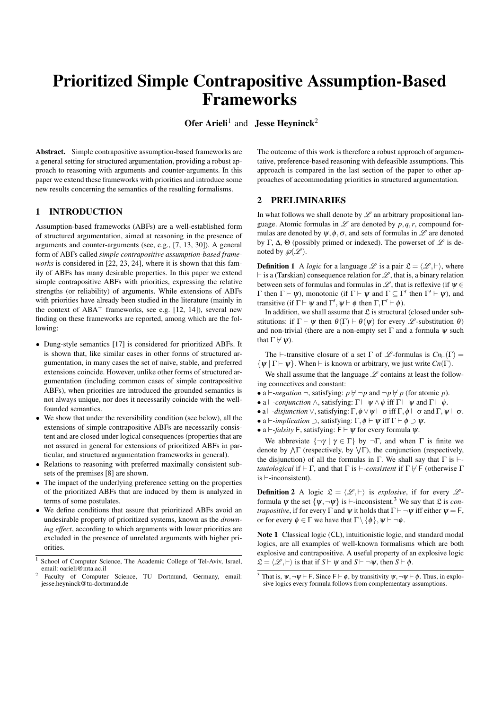# Prioritized Simple Contrapositive Assumption-Based Frameworks

Ofer Arieli<sup>1</sup> and Jesse Heyninck<sup>2</sup>

Abstract. Simple contrapositive assumption-based frameworks are a general setting for structured argumentation, providing a robust approach to reasoning with arguments and counter-arguments. In this paper we extend these frameworks with priorities and introduce some new results concerning the semantics of the resulting formalisms.

# 1 INTRODUCTION

Assumption-based frameworks (ABFs) are a well-established form of structured argumentation, aimed at reasoning in the presence of arguments and counter-arguments (see, e.g., [7, 13, 30]). A general form of ABFs called *simple contrapositive assumption-based frameworks* is considered in [22, 23, 24], where it is shown that this family of ABFs has many desirable properties. In this paper we extend simple contrapositive ABFs with priorities, expressing the relative strengths (or reliability) of arguments. While extensions of ABFs with priorities have already been studied in the literature (mainly in the context of  $ABA^+$  frameworks, see e.g. [12, 14]), several new finding on these frameworks are reported, among which are the following:

- Dung-style semantics [17] is considered for prioritized ABFs. It is shown that, like similar cases in other forms of structured argumentation, in many cases the set of naive, stable, and preferred extensions coincide. However, unlike other forms of structured argumentation (including common cases of simple contrapositive ABFs), when priorities are introduced the grounded semantics is not always unique, nor does it necessarily coincide with the wellfounded semantics.
- We show that under the reversibility condition (see below), all the extensions of simple contrapositive ABFs are necessarily consistent and are closed under logical consequences (properties that are not assured in general for extensions of prioritized ABFs in particular, and structured argumentation frameworks in general).
- Relations to reasoning with preferred maximally consistent subsets of the premises [8] are shown.
- The impact of the underlying preference setting on the properties of the prioritized ABFs that are induced by them is analyzed in terms of some postulates.
- We define conditions that assure that prioritized ABFs avoid an undesirable property of prioritized systems, known as the *drowning effect*, according to which arguments with lower priorities are excluded in the presence of unrelated arguments with higher priorities.

The outcome of this work is therefore a robust approach of argumentative, preference-based reasoning with defeasible assumptions. This approach is compared in the last section of the paper to other approaches of accommodating priorities in structured argumentation.

# 2 PRELIMINARIES

In what follows we shall denote by  $\mathscr L$  an arbitrary propositional language. Atomic formulas in  $\mathscr L$  are denoted by  $p, q, r$ , compound formulas are denoted by  $\psi$ ,  $\phi$ ,  $\sigma$ , and sets of formulas in  $\mathscr L$  are denoted by Γ, Δ, Θ (possibly primed or indexed). The powerset of  $\mathscr L$  is denoted by  $\mathcal{P}(\mathcal{L})$ .

**Definition 1** A *logic* for a language  $\mathcal{L}$  is a pair  $\mathcal{L} = \langle \mathcal{L}, \vdash \rangle$ , where  $\vdash$  is a (Tarskian) consequence relation for  $\mathscr L$ , that is, a binary relation between sets of formulas and formulas in  $\mathscr{L}$ , that is reflexive (if  $\psi \in$  $Γ$  then  $Γ ⊢ ψ$ ), monotonic (if  $Γ ⊢ ψ$  and  $Γ ⊆ Γ'$  then  $Γ' ⊢ ψ$ ), and transitive (if  $\Gamma \vdash \psi$  and  $\Gamma', \psi \vdash \phi$  then  $\Gamma, \Gamma' \vdash \phi$ ).

In addition, we shall assume that  $\mathfrak L$  is structural (closed under substitutions: if  $\Gamma \vdash \psi$  then  $\theta(\Gamma) \vdash \theta(\psi)$  for every  $\mathscr{L}$ -substitution  $\theta$ ) and non-trivial (there are a non-empty set  $\Gamma$  and a formula  $\psi$  such that  $\Gamma \not\vdash \psi$ ).

The  $\vdash$ -transitive closure of a set  $\Gamma$  of  $\mathscr L$ -formulas is  $Cn_{\vdash}(\Gamma) =$  $\{\psi \mid \Gamma \vdash \psi\}$ . When  $\vdash$  is known or arbitrary, we just write  $Cn(\Gamma)$ .

We shall assume that the language  $L$  contains at least the following connectives and constant:

- a  $\vdash$ *-negation*  $\neg$ , satisfying:  $p \nvdash \neg p$  and  $\neg p \nvdash p$  (for atomic *p*).
- a  $\vdash$ -*conjunction*  $\land$ , satisfying:  $\Gamma \vdash \psi \land \phi$  iff  $\Gamma \vdash \psi$  and  $\Gamma \vdash \phi$ .
- a  $\vdash$ *-disjunction*  $\vee$ , satisfying:  $\Gamma$ ,  $\phi \vee \psi \vdash \sigma$  iff  $\Gamma$ ,  $\phi \vdash \sigma$  and  $\Gamma$ ,  $\psi \vdash \sigma$ .
- a  $\vdash$ *-implication*  $\supset$ , satisfying:  $\Gamma$ ,  $\phi \vdash \psi$  iff  $\Gamma \vdash \phi \supset \psi$ .
- a  $\vdash$ *-falsity* F, satisfying: F  $\vdash \psi$  for every formula  $\psi$ .

We abbreviate  $\{\neg \gamma \mid \gamma \in \Gamma\}$  by  $\neg \Gamma$ , and when  $\Gamma$  is finite we denote by  $\Lambda \Gamma$  (respectively, by  $\Lambda \Gamma$ ), the conjunction (respectively, the disjunction) of all the formulas in  $\Gamma$ . We shall say that  $\Gamma$  is  $\vdash$ *tautological* if  $\vdash \Gamma$ , and that  $\Gamma$  is  $\vdash$ -*consistent* if  $\Gamma \not\models \Gamma$  (otherwise  $\Gamma$ is  $\vdash$ -inconsistent).

**Definition 2** A logic  $\mathcal{L} = \langle \mathcal{L}, \vdash \rangle$  is *explosive*, if for every  $\mathcal{L}$ formula  $\psi$  the set  $\{\psi, \neg \psi\}$  is  $\vdash$ -inconsistent.<sup>3</sup> We say that  $\mathfrak{L}$  is *contrapositive*, if for every  $\Gamma$  and  $\psi$  it holds that  $\Gamma \vdash \neg \psi$  iff either  $\psi = \mathsf{F}$ , or for every  $\phi \in \Gamma$  we have that  $\Gamma \setminus \{\phi\}, \psi \vdash \neg \phi$ .

Note 1 Classical logic (CL), intuitionistic logic, and standard modal logics, are all examples of well-known formalisms which are both explosive and contrapositive. A useful property of an explosive logic  $\mathcal{L} = \langle \mathcal{L}, \vdash \rangle$  is that if  $S \vdash \psi$  and  $S \vdash \neg \psi$ , then  $S \vdash \phi$ .

School of Computer Science, The Academic College of Tel-Aviv, Israel, email: oarieli@mta.ac.il

Faculty of Computer Science, TU Dortmund, Germany, email: jesse.heyninck@tu-dortmund.de

<sup>&</sup>lt;sup>3</sup> That is,  $\psi, \neg \psi \vdash F$ . Since  $F \vdash \phi$ , by transitivity  $\psi, \neg \psi \vdash \phi$ . Thus, in explosive logics every formula follows from complementary assumptions.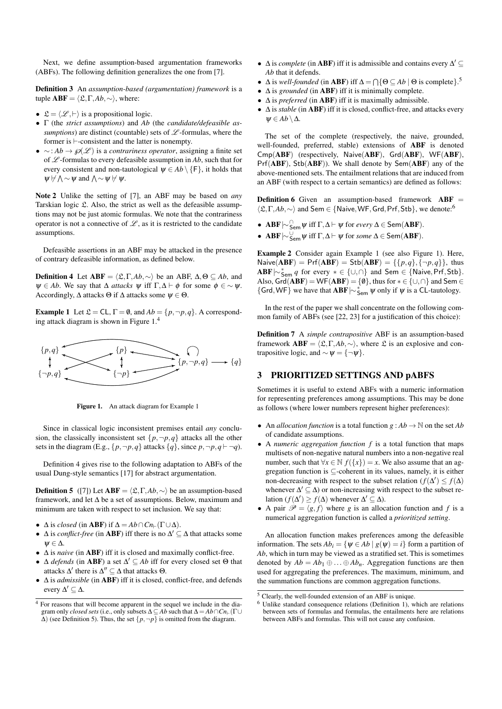Next, we define assumption-based argumentation frameworks (ABFs). The following definition generalizes the one from [7].

Definition 3 An *assumption-based (argumentation) framework* is a tuple  $ABF = \langle \mathfrak{L}, \Gamma, Ab, \sim \rangle$ , where:

- $\mathfrak{L} = \langle \mathcal{L}, \vdash \rangle$  is a propositional logic.
- Γ (the *strict assumptions*) and *Ab* (the *candidate/defeasible assumptions*) are distinct (countable) sets of  $\mathscr L$ -formulas, where the former is  $\vdash$ -consistent and the latter is nonempty.
- ∼: *Ab* →℘(L ) is a *contrariness operator*, assigning a finite set of  $\mathscr L$ -formulas to every defeasible assumption in Ab, such that for every consistent and non-tautological  $\psi \in Ab \setminus \{F\}$ , it holds that  $\psi \nvdash \wedge \sim \psi$  and  $\wedge \sim \psi \nvdash \psi$ .

Note 2 Unlike the setting of [7], an ABF may be based on *any* Tarskian logic £. Also, the strict as well as the defeasible assumptions may not be just atomic formulas. We note that the contrariness operator is not a connective of  $\mathscr{L}$ , as it is restricted to the candidate assumptions.

Defeasible assertions in an ABF may be attacked in the presence of contrary defeasible information, as defined below.

**Definition 4** Let  $ABF = \langle \mathcal{L}, \Gamma, Ab, \sim \rangle$  be an ABF,  $\Delta, \Theta \subseteq Ab$ , and  $\psi \in Ab$ . We say that  $\Delta$  *attacks*  $\psi$  iff  $\Gamma, \Delta \vdash \phi$  for some  $\phi \in \sim \psi$ . Accordingly,  $\Delta$  attacks  $\Theta$  if  $\Delta$  attacks some  $\psi \in \Theta$ .

**Example 1** Let  $\mathcal{L} = CL$ ,  $\Gamma = \emptyset$ , and  $Ab = \{p, \neg p, q\}$ . A corresponding attack diagram is shown in Figure 1.<sup>4</sup>



Figure 1. An attack diagram for Example 1

Since in classical logic inconsistent premises entail *any* conclusion, the classically inconsistent set  $\{p, \neg p, q\}$  attacks all the other sets in the diagram (E.g.,  $\{p, \neg p, q\}$  attacks  $\{q\}$ , since  $p, \neg p, q \vdash \neg q$ ).

Definition 4 gives rise to the following adaptation to ABFs of the usual Dung-style semantics [17] for abstract argumentation.

**Definition 5** ([7]) Let  $ABF = \langle \mathcal{L}, \Gamma, Ab, \sim \rangle$  be an assumption-based framework, and let ∆ be a set of assumptions. Below, maximum and minimum are taken with respect to set inclusion. We say that:

- $\Delta$  is *closed* (in **ABF**) if  $\Delta = Ab \cap Cn_{\vdash}(\Gamma \cup \Delta)$ .
- $\Delta$  is *conflict-free* (in **ABF**) iff there is no  $\Delta' \subseteq \Delta$  that attacks some  $w \in \Lambda$ .
- ∆ is *naive* (in ABF) iff it is closed and maximally conflict-free.
- Δ *defends* (in **ABF**) a set  $\Delta'$  ⊆ *Ab* iff for every closed set Θ that attacks  $\Delta'$  there is  $\Delta'' \subseteq \Delta$  that attacks  $\Theta$ .
- ∆ is *admissible* (in ABF) iff it is closed, conflict-free, and defends every  $\Delta' \subseteq \Delta$ .
- $\Delta$  is *complete* (in **ABF**) iff it is admissible and contains every  $\Delta' \subseteq$ *Ab* that it defends.
- $\triangle$  is *well-founded* (in **ABF**) iff  $\triangle = \bigcap \{ \Theta \subseteq Ab \mid \Theta \text{ is complete} \}$ .<sup>5</sup>
- ∆ is *grounded* (in ABF) iff it is minimally complete.
- ∆ is *preferred* (in ABF) iff it is maximally admissible.
- ∆ is *stable* (in ABF) iff it is closed, conflict-free, and attacks every  $\psi \in Ab \setminus \Delta$ .

The set of the complete (respectively, the naive, grounded, well-founded, preferred, stable) extensions of ABF is denoted Cmp(ABF) (respectively, Naive(ABF), Grd(ABF), WF(ABF), Prf(ABF), Stb(ABF)). We shall denote by Sem(ABF) any of the above-mentioned sets. The entailment relations that are induced from an ABF (with respect to a certain semantics) are defined as follows:

**Definition 6** Given an assumption-based framework  $ABF =$  $\langle \mathfrak{L}, \Gamma, Ab, \sim \rangle$  and Sem ∈ {Naive, WF, Grd, Prf, Stb}, we denote:<sup>6</sup>

- **ABF**  $\sim$   $\bigcap_{\mathsf{Sem}} \psi$  iff  $\Gamma, \Delta \vdash \psi$  for *every*  $\Delta \in \mathsf{Sem}(ABF)$ .
- **ABF**  $\sim$   $\frac{U}{\text{Sem}}$   $\psi$  iff Γ,  $\Delta$   $\vdash$   $\psi$  for *some*  $\Delta$   $\in$  Sem(**ABF**).

Example 2 Consider again Example 1 (see also Figure 1). Here,  $N \text{alive}(\mathbf{ABF}) = Prf(\mathbf{ABF}) = Stb(\mathbf{ABF}) = \{ \{p,q\}, \{\neg p,q\} \},\$ thus  $ABF\sim_{Sem}^* q$  for every  $* \in \{\cup, \cap\}$  and Sem  $\in \{\text{Naive}, \text{Prf}, \text{Stb}\}.$ Also,  $Grd(ABF) = WF(ABF) = \{\emptyset\}$ , thus for  $* \in \{\cup, \cap\}$  and Sem  $\in$ {Grd, WF} we have that  $ABF \sim_{Sem}^* \psi$  only if  $\psi$  is a CL-tautology.

In the rest of the paper we shall concentrate on the following common family of ABFs (see [22, 23] for a justification of this choice):

Definition 7 A *simple contrapositive* ABF is an assumption-based framework  $ABF = \langle \mathfrak{L}, \Gamma, Ab, \sim \rangle$ , where  $\mathfrak{L}$  is an explosive and contrapositive logic, and  $\sim \psi = \{\neg \psi\}.$ 

# 3 PRIORITIZED SETTINGS AND pABFS

Sometimes it is useful to extend ABFs with a numeric information for representing preferences among assumptions. This may be done as follows (where lower numbers represent higher preferences):

- An *allocation function* is a total function  $g : Ab \to \mathbb{N}$  on the set *Ab* of candidate assumptions.
- A *numeric aggregation function f* is a total function that maps multisets of non-negative natural numbers into a non-negative real number, such that  $\forall x \in \mathbb{N}$   $f(\{x\}) = x$ . We also assume that an aggregation function is ⊆-coherent in its values, namely, it is either non-decreasing with respect to the subset relation  $(f(\Delta') \leq f(\Delta))$ whenever  $\Delta' \subseteq \Delta$ ) or non-increasing with respect to the subset relation  $(f(\Delta') \ge f(\Delta)$  whenever  $\Delta' \subseteq \Delta$ ).
- A pair  $\mathcal{P} = \langle g, f \rangle$  where *g* is an allocation function and *f* is a numerical aggregation function is called a *prioritized setting*.

An allocation function makes preferences among the defeasible information. The sets  $Ab_i = \{ \psi \in Ab \mid g(\psi) = i \}$  form a partition of *Ab*, which in turn may be viewed as a stratified set. This is sometimes denoted by  $Ab = Ab_1 \oplus ... \oplus Ab_n$ . Aggregation functions are then used for aggregating the preferences. The maximum, minimum, and the summation functions are common aggregation functions.

 $\frac{4}{4}$  For reasons that will become apparent in the sequel we include in the diagram only *closed sets* (i.e., only subsets  $\Delta \subseteq Ab$  such that  $\Delta = Ab \cap Cn_{\vdash}(\Gamma \cup$  $\Delta$ ) (see Definition 5). Thus, the set  $\{p, \neg p\}$  is omitted from the diagram.

 $\frac{5 \text{ Clearly}}{2}$ , the well-founded extension of an ABF is unique.

<sup>6</sup> Unlike standard consequence relations (Definition 1), which are relations between sets of formulas and formulas, the entailments here are relations between ABFs and formulas. This will not cause any confusion.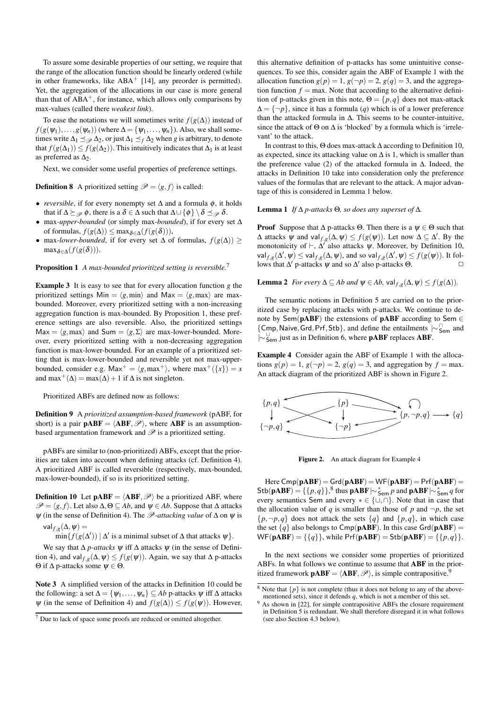To assure some desirable properties of our setting, we require that the range of the allocation function should be linearly ordered (while in other frameworks, like  $ABA^+$  [14], any preorder is permitted). Yet, the aggregation of the allocations in our case is more general than that of  $ABA^+$ , for instance, which allows only comparisons by max-values (called there *weakest link*).

To ease the notations we will sometimes write  $f(g(\Delta))$  instead of  $f(g(\psi_1),...,g(\psi_n))$  (where  $\Delta = {\psi_1,...,\psi_n}$ ). Also, we shall sometimes write  $\Delta_1 \preceq \mathcal{P} \Delta_2$ , or just  $\Delta_1 \preceq_f \Delta_2$  when *g* is arbitrary, to denote that  $f(g(\Delta_1)) \leq f(g(\Delta_2))$ . This intuitively indicates that  $\Delta_1$  is at least as preferred as  $\Delta_2$ .

Next, we consider some useful properties of preference settings.

**Definition 8** A prioritized setting  $\mathcal{P} = \langle g, f \rangle$  is called:

- *reversible*, if for every nonempty set  $\Delta$  and a formula  $\phi$ , it holds that if  $\Delta \succeq_{\mathcal{P}} \phi$ , there is a  $\delta \in \Delta$  such that  $\Delta \cup {\phi} \setminus \delta \preceq_{\mathcal{P}} \delta$ .
- max*-upper-bounded* (or simply max*-bounded*), if for every set ∆ of formulas,  $f(g(\Delta)) \leq \max_{\delta \in \Delta} (f(g(\delta))),$
- max-*lower-bounded*, if for every set  $\Delta$  of formulas,  $f(g(\Delta)) \ge$  $\max_{\delta \in \Delta} (f(g(\delta))).$

Proposition 1 *A max-bounded prioritized setting is reversible.*<sup>7</sup>

Example 3 It is easy to see that for every allocation function *g* the prioritized settings Min =  $\langle g, min \rangle$  and Max =  $\langle g, max \rangle$  are maxbounded. Moreover, every prioritized setting with a non-increasing aggregation function is max-bounded. By Proposition 1, these preference settings are also reversible. Also, the prioritized settings Max =  $\langle g, \text{max} \rangle$  and Sum =  $\langle g, \Sigma \rangle$  are max-lower-bounded. Moreover, every prioritized setting with a non-decreasing aggregation function is max-lower-bounded. For an example of a prioritized setting that is max-lower-bounded and reversible yet not max-upperbounded, consider e.g.  $\text{Max}^+ = \langle g, \text{max}^+ \rangle$ , where  $\text{max}^+(\lbrace x \rbrace) = x$ and max<sup>+</sup>( $\Delta$ ) = max( $\Delta$ ) + 1 if  $\Delta$  is not singleton.

Prioritized ABFs are defined now as follows:

Definition 9 A *prioritized assumption-based framework* (pABF, for short) is a pair  $\mathbf{pABF} = \langle \mathbf{ABF}, \mathcal{P} \rangle$ , where  $\mathbf{ABF}$  is an assumptionbased argumentation framework and  $\mathscr P$  is a prioritized setting.

pABFs are similar to (non-prioritized) ABFs, except that the priorities are taken into account when defining attacks (cf. Definition 4). A prioritized ABF is called reversible (respectively, max-bounded, max-lower-bounded), if so is its prioritized setting.

**Definition 10** Let  $\mathbf{pABF} = \langle \mathbf{ABF}, \mathcal{P} \rangle$  be a prioritized ABF, where  $\mathscr{P} = \langle g, f \rangle$ . Let also  $\Delta, \Theta \subseteq Ab$ , and  $\psi \in Ab$ . Suppose that  $\Delta$  attacks ψ (in the sense of Definition 4). The P*-attacking value* of ∆ on ψ is val  $f, g(\Delta, \psi) =$ 

 $\min\{f(g(\Delta')) \mid \Delta' \text{ is a minimal subset of } \Delta \text{ that attacks } \psi\}.$ 

We say that  $\Delta p$ -attacks  $\psi$  iff  $\Delta$  attacks  $\psi$  (in the sense of Definition 4), and val  $f_{,g}(\Delta, \psi) \leq f(g(\psi))$ . Again, we say that  $\Delta$  p-attacks Θ if ∆ p-attacks some ψ ∈ Θ.

Note 3 A simplified version of the attacks in Definition 10 could be the following: a set  $\Delta = {\psi_1, \dots, \psi_n} \subseteq Ab$  p-attacks  $\psi$  iff  $\Delta$  attacks  $\psi$  (in the sense of Definition 4) and  $f(g(\Delta)) \leq f(g(\psi))$ . However, this alternative definition of p-attacks has some unintuitive consequences. To see this, consider again the ABF of Example 1 with the allocation function  $g(p) = 1$ ,  $g(\neg p) = 2$ ,  $g(q) = 3$ , and the aggregation function  $f = \max$ . Note that according to the alternative definition of p-attacks given in this note,  $\Theta = \{p, q\}$  does not max-attack  $\Delta = \{\neg p\}$ , since it has a formula (*q*) which is of a lower preference than the attacked formula in  $\Delta$ . This seems to be counter-intuitive, since the attack of  $\Theta$  on  $\Delta$  is 'blocked' by a formula which is 'irrelevant' to the attack.

In contrast to this, Θ does max-attack ∆ according to Definition 10, as expected, since its attacking value on  $\Delta$  is 1, which is smaller than the preference value (2) of the attacked formula in ∆. Indeed, the attacks in Definition 10 take into consideration only the preference values of the formulas that are relevant to the attack. A major advantage of this is considered in Lemma 1 below.

#### Lemma 1 *If* ∆ *p-attacks* Θ*, so does any superset of* ∆*.*

**Proof** Suppose that  $\Delta$  p-attacks  $\Theta$ . Then there is a  $\psi \in \Theta$  such that  $\Delta$  attacks  $\psi$  and val $f,g(\Delta, \psi) \leq f(g(\psi))$ . Let now  $\Delta \subseteq \Delta'$ . By the monotonicity of  $\vdash$ ,  $\Delta'$  also attacks  $\psi$ . Moreover, by Definition 10,  $\text{val}_{f,g}(\Delta', \psi) \leq \text{val}_{f,g}(\Delta, \psi)$ , and so  $\text{val}_{f,g}(\Delta', \psi) \leq f(g(\psi))$ . It follows that  $\Delta'$  p-attacks  $\psi$  and so  $\Delta'$  also p-attacks  $\Theta$ .

**Lemma 2** *For every*  $\Delta \subseteq Ab$  *and*  $\psi \in Ab$ ,  $\text{val}_{f,g}(\Delta, \psi) \leq f(g(\Delta))$ .

The semantic notions in Definition 5 are carried on to the prioritized case by replacing attacks with p-attacks. We continue to denote by Sem( $pABF$ ) the extensions of  $pABF$  according to Sem  $\in$ {Cmp,Naive,Grd,Prf,Stb}, and define the entailments |∼<sup>∩</sup> Sem and |∼<sup>∪</sup> Sem just as in Definition 6, where pABF replaces ABF.

Example 4 Consider again the ABF of Example 1 with the allocations  $g(p) = 1$ ,  $g(\neg p) = 2$ ,  $g(q) = 3$ , and aggregation by  $f = \max$ . An attack diagram of the prioritized ABF is shown in Figure 2.



Figure 2. An attack diagram for Example 4

Here  $\text{Cmp}(pABF) = \text{Grd}(pABF) = \text{WF}(pABF) = \text{Pr}(pABF)$  $\text{Stb}(\textbf{pABF}) = {\pmb{p} \{p,q\}}$ ,<sup>8</sup> thus  $\textbf{pABF} \sim \sum_{n=1}^{\infty} p$  and  $\textbf{pABF} \sim \sum_{n=1}^{\infty} q$  for every semantics Sem and every  $* \in \{\cup, \cap\}$ . Note that in case that the allocation value of *q* is smaller than those of *p* and  $\neg p$ , the set  $\{p, \neg p, q\}$  does not attack the sets  $\{q\}$  and  $\{p, q\}$ , in which case the set  ${q}$  also belongs to  $\text{Cmp}(pABF)$ . In this case  $\text{Grd}(pABF)$  =  $WF(pABF) = \{\{q\}\}\$ , while  $Pr(pABF) = Stb(pABF) = \{\{p,q\}\}.$ 

In the next sections we consider some properties of prioritized ABFs. In what follows we continue to assume that ABF in the prioritized framework  $\mathbf{pABF} = \langle \mathbf{ABF}, \mathcal{P} \rangle$ , is simple contrapositive.<sup>9</sup>

 $7$  Due to lack of space some proofs are reduced or omitted altogether.

 $8$  Note that  $\{p\}$  is not complete (thus it does not belong to any of the abovementioned sets), since it defends *q*, which is not a member of this set.

<sup>9</sup> As shown in [22], for simple contrapositive ABFs the closure requirement in Definition 5 is redundant. We shall therefore disregard it in what follows (see also Section 4.3 below).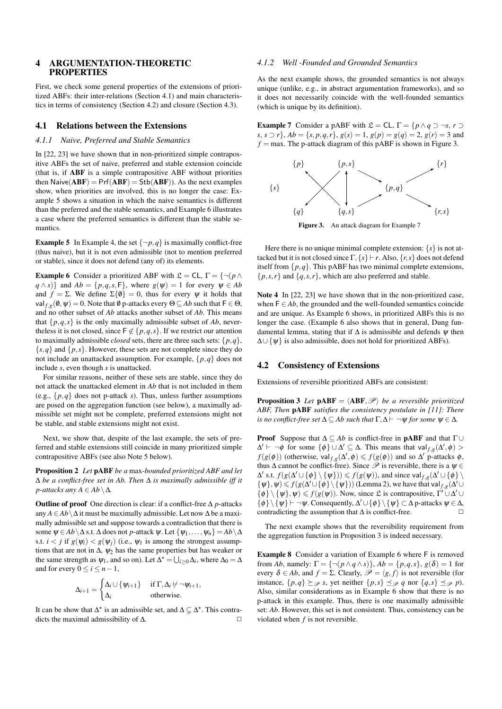# 4 ARGUMENTATION-THEORETIC PROPERTIES

First, we check some general properties of the extensions of prioritized ABFs: their inter-relations (Section 4.1) and main characteristics in terms of consistency (Section 4.2) and closure (Section 4.3).

## 4.1 Relations between the Extensions

#### *4.1.1 Naive, Preferred and Stable Semantics*

In [22, 23] we have shown that in non-prioritized simple contrapositive ABFs the set of naive, preferred and stable extension coincide (that is, if ABF is a simple contrapositive ABF without priorities then  $N$ aive $(ABF) = Prf(ABF) = Stb(ABF)$ . As the next examples show, when priorities are involved, this is no longer the case: Example 5 shows a situation in which the naive semantics is different than the preferred and the stable semantics, and Example 6 illustrates a case where the preferred semantics is different than the stable semantics.

**Example 5** In Example 4, the set  $\{\neg p, q\}$  is maximally conflict-free (thus naive), but it is not even admissible (not to mention preferred or stable), since it does not defend (any of) its elements.

**Example 6** Consider a prioritized ABF with  $\mathcal{L} = CL$ ,  $\Gamma = \{\neg (p \land p)\}$  $q \wedge s$ } and  $Ab = \{p, q, s, F\}$ , where  $g(\psi) = 1$  for every  $\psi \in Ab$ and  $f = \Sigma$ . We define  $\Sigma\{\emptyset\} = 0$ , thus for every  $\psi$  it holds that  $\mathsf{val}_{f,g}(\emptyset,\psi) = 0.$  Note that  $\emptyset$  p-attacks every  $\Theta \subseteq Ab$  such that  $\mathsf{F} \in \Theta$ , and no other subset of *Ab* attacks another subset of *Ab*. This means that  $\{p,q,s\}$  is the only maximally admissible subset of *Ab*, nevertheless it is not closed, since  $\mathsf{F} \notin \{p,q,s\}$ . If we restrict our attention to maximally admissible *closed* sets, there are three such sets:  $\{p, q\}$ ,  ${s, q}$  and  ${p, s}$ . However, these sets are not complete since they do not include an unattacked assumption. For example, {*p*,*q*} does not include *s*, even though *s* is unattacked.

For similar reasons, neither of these sets are stable, since they do not attack the unattacked element in *Ab* that is not included in them (e.g.,  $\{p,q\}$  does not p-attack *s*). Thus, unless further assumptions are posed on the aggregation function (see below), a maximally admissible set might not be complete, preferred extensions might not be stable, and stable extensions might not exist.

Next, we show that, despite of the last example, the sets of preferred and stable extensions still coincide in many prioritized simple contrapositive ABFs (see also Note 5 below).

Proposition 2 *Let* pABF *be a* max*-bounded prioritized ABF and let* ∆ *be a conflict-free set in Ab. Then* ∆ *is maximally admissible iff it p*-attacks any  $A \in Ab \setminus \Delta$ .

**Outline of proof** One direction is clear: if a conflict-free  $\Delta p$ -attacks any  $A ∈ Ab \Delta$  it must be maximally admissible. Let now  $\Delta$  be a maximally admissible set and suppose towards a contradiction that there is some  $\psi \in Ab \setminus \Delta$  s.t.  $\Delta$  does not *p*-attack  $\psi$ . Let  $\{\psi_1, \ldots, \psi_n\} = Ab \setminus \Delta$ s.t.  $i < j$  if  $g(\psi_i) < g(\psi_j)$  (i.e.,  $\psi_1$  is among the strongest assumptions that are not in  $\Delta$ ,  $\psi_2$  has the same properties but has weaker or the same strength as  $\psi_1$ , and so on). Let  $\Delta^* = \bigcup_{i \geq 0} \Delta_i$ , where  $\Delta_0 = \Delta$ and for every  $0 \le i \le n-1$ ,

$$
\Delta_{i+1} = \begin{cases} \Delta_i \cup \{ \psi_{i+1} \} & \text{if } \Gamma, \Delta_i \neq \neg \psi_{i+1}, \\ \Delta_i & \text{otherwise.} \end{cases}
$$

It can be show that  $\Delta^*$  is an admissible set, and  $\Delta \subsetneq \Delta^*$ . This contradicts the maximal admissibility of  $\Delta$ .  $\Box$ 

## *4.1.2 Well -Founded and Grounded Semantics*

As the next example shows, the grounded semantics is not always unique (unlike, e.g., in abstract argumentation frameworks), and so it does not necessarily coincide with the well-founded semantics (which is unique by its definition).

**Example 7** Consider a pABF with  $\mathcal{L} = CL$ ,  $\Gamma = \{p \land q \supset \neg s, r \supset \neg s, r \supset \neg s, r \supset \neg s, r \supset \neg s, r \supset \neg s, r \supset \neg s, r \supset \neg s, r \supset \neg s, r \supset \neg s, r \supset \neg s, r \supset \neg s, r \supset \neg s, r \supset \neg s, r \supset \neg s, r \supset \neg s, r \supset \neg s, r \supset \neg s, r \supset \neg s, r \supset \neg s, r \supset \neg s$ *s*, *s* ⊃ *r*}, *Ab* = {*s*, *p*,*q*,*r*}, *g*(*s*) = 1, *g*(*p*) = *g*(*q*) = 2, *g*(*r*) = 3 and  $f = \text{max}$ . The p-attack diagram of this pABF is shown in Figure 3.



Here there is no unique minimal complete extension:  $\{s\}$  is not attacked but it is not closed since  $\Gamma$ ,  $\{s\} \vdash r$ . Also,  $\{r, s\}$  does not defend itself from  $\{p,q\}$ . This pABF has two minimal complete extensions,  $\{p, s, r\}$  and  $\{q, s, r\}$ , which are also preferred and stable.

Note 4 In [22, 23] we have shown that in the non-prioritized case, when  $F \in Ab$ , the grounded and the well-founded semantics coincide and are unique. As Example 6 shows, in prioritized ABFs this is no longer the case. (Example 6 also shows that in general, Dung fundamental lemma, stating that if  $\Delta$  is admissible and defends  $\psi$  then ∆∪ {ψ} is also admissible, does not hold for prioritized ABFs).

#### 4.2 Consistency of Extensions

Extensions of reversible prioritized ABFs are consistent:

**Proposition 3** Let  $pABF = \langle ABF, \mathcal{P} \rangle$  *be a reversible prioritized ABF, Then* pABF *satisfies the consistency postulate in [11]: There is no conflict-free set*  $\Delta \subseteq Ab$  *such that*  $\Gamma, \Delta \vdash \neg \psi$  *for some*  $\psi \in \Delta$ *.* 

**Proof** Suppose that  $\Delta \subseteq Ab$  is conflict-free in **pABF** and that  $\Gamma \cup$  $\Delta'$   $\vdash$   $\neg \phi$  for some  $\{\phi\}$  ∪  $\Delta'$   $\subseteq$   $\Delta$ . This means that val<sub>f,*g*</sub>( $\Delta', \phi$ ) >  $f(g(\phi))$  (otherwise, val $f,g(\Delta', \phi) \leq f(g(\phi))$  and so  $\Delta'$  p-attacks  $\phi$ , thus  $\Delta$  cannot be conflict-free). Since  $\mathscr P$  is reversible, there is a  $\psi \in$  $\Delta'$  s.t.  $f(g(\Delta' \cup \{\phi\} \setminus \{\psi\})) \leq f(g(\psi))$ , and since val  $f,g(\Delta' \cup \{\phi\} \setminus \{\psi\})$  $\{\psi\}, \psi \leq f(g(\Delta' \cup \{\phi\} \setminus \{\psi\}))$  (Lemma 2), we have that val  $f,g(\Delta' \cup \{\phi\})$  $\{\phi\} \setminus \{\psi\}, \psi \leq f(g(\psi))$ . Now, since £ is contrapositive,  $\Gamma' \cup \Delta' \cup \Gamma$  $\{\phi\}\setminus \{\psi\} \vdash \neg \psi$ . Consequently,  $\Delta' \cup \{\phi\} \setminus \{\psi\} \subset \Delta$  p-attacks  $\psi \in \Delta$ , contradicting the assumption that  $\Delta$  is conflict-free.  $\Box$ 

The next example shows that the reversibility requirement from the aggregation function in Proposition 3 is indeed necessary.

Example 8 Consider a variation of Example 6 where F is removed from *Ab*, namely:  $\Gamma = \{ \neg (p \land q \land s) \}, Ab = \{p,q,s\}, g(\delta) = 1$  for every  $\delta \in Ab$ , and  $f = \Sigma$ . Clearly,  $\mathscr{P} = \langle g, f \rangle$  is not reversible (for instance,  $\{p,q\} \succeq_{\mathcal{P}} s$ , yet neither  $\{p,s\} \preceq_{\mathcal{P}} q$  nor  $\{q,s\} \preceq_{\mathcal{P}} p$ ). Also, similar considerations as in Example 6 show that there is no p-attack in this example. Thus, there is one maximally admissible set: *Ab*. However, this set is not consistent. Thus, consistency can be violated when *f* is not reversible.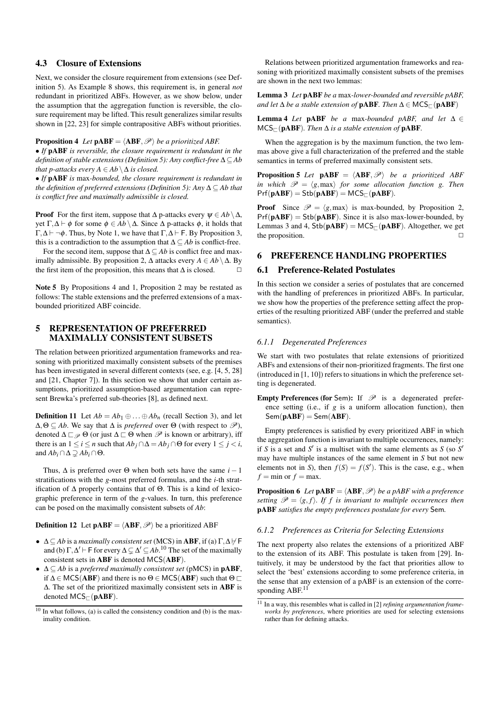# 4.3 Closure of Extensions

Next, we consider the closure requirement from extensions (see Definition 5). As Example 8 shows, this requirement is, in general *not* redundant in prioritized ABFs. However, as we show below, under the assumption that the aggregation function is reversible, the closure requirement may be lifted. This result generalizes similar results shown in [22, 23] for simple contrapositive ABFs without priorities.

## **Proposition 4** *Let*  $\mathbf{pABF} = \langle \mathbf{ABF}, \mathcal{P} \rangle$  *be a prioritized ABF.*

• *If* pABF *is reversible, the closure requirement is redundant in the definition of stable extensions (Definition 5): Any conflict-free* ∆ ⊆ *Ab that p-attacks every A*  $\in$  *Ab*  $\setminus$   $\Delta$  *is closed.* 

• *If* pABF *is* max*-bounded, the closure requirement is redundant in the definition of preferred extensions (Definition 5): Any* ∆ ⊆ *Ab that is conflict free and maximally admissible is closed.*

**Proof** For the first item, suppose that  $\Delta$  p-attacks every  $\psi \in Ab \setminus \Delta$ , yet Γ,  $\Delta$   $\vdash$   $\phi$  for some  $\phi$  ∈  $Ab \setminus \Delta$ . Since  $\Delta$  p-attacks  $\phi$ , it holds that  $Γ, Δ ⊢ ¬φ$ . Thus, by Note 1, we have that  $Γ, Δ ⊢ F$ . By Proposition 3, this is a contradiction to the assumption that  $\Delta \subseteq Ab$  is conflict-free.

For the second item, suppose that ∆ ⊆ *Ab* is conflict free and maximally admissible. By proposition 2, ∆ attacks every *A* ∈ *Ab* \∆. By the first item of the proposition, this means that  $\Delta$  is closed.  $\Box$ 

Note 5 By Propositions 4 and 1, Proposition 2 may be restated as follows: The stable extensions and the preferred extensions of a maxbounded prioritized ABF coincide.

# 5 REPRESENTATION OF PREFERRED MAXIMALLY CONSISTENT SUBSETS

The relation between prioritized argumentation frameworks and reasoning with prioritized maximally consistent subsets of the premises has been investigated in several different contexts (see, e.g. [4, 5, 28] and [21, Chapter 7]). In this section we show that under certain assumptions, prioritized assumption-based argumentation can represent Brewka's preferred sub-theories [8], as defined next.

**Definition 11** Let  $Ab = Ab_1 \oplus ... \oplus Ab_n$  (recall Section 3), and let  $\Delta, \Theta \subseteq Ab$ . We say that  $\Delta$  is *preferred* over  $\Theta$  (with respect to  $\mathscr{P}$ ), denoted  $\Delta \sqsubset \mathscr{P}$   $\Theta$  (or just  $\Delta \sqsubset \Theta$  when  $\mathscr{P}$  is known or arbitrary), iff there is an  $1 \le i \le n$  such that  $Ab_j \cap \Delta = Ab_j \cap \Theta$  for every  $1 \le j < i$ , and  $Ab_i \cap \Delta \supseteq Ab_i \cap \Theta$ .

Thus,  $\Delta$  is preferred over  $\Theta$  when both sets have the same *i* − 1 stratifications with the *g*-most preferred formulas, and the *i*-th stratification of ∆ properly contains that of Θ. This is a kind of lexicographic preference in term of the *g*-values. In turn, this preference can be posed on the maximally consistent subsets of *Ab*:

**Definition 12** Let  $\mathbf{pABF} = \langle \mathbf{ABF}, \mathcal{P} \rangle$  be a prioritized ABF

- $\Delta \subset Ab$  is a *maximally consistent set* (MCS) in **ABF**, if (a)  $\Gamma, \Delta \nvdash$  **F** and (b)  $\Gamma, \Delta' \vdash F$  for every  $\Delta \subsetneq \Delta' \subseteq Ab$ .<sup>10</sup> The set of the maximally consistent sets in ABF is denoted MCS(ABF).
- ∆ ⊆ *Ab* is a *preferred maximally consistent set* (pMCS) in pABF, if  $\Delta \in \text{MCS}(ABF)$  and there is no  $\Theta \in \text{MCS}(ABF)$  such that  $\Theta \square$ ∆. The set of the prioritized maximally consistent sets in ABF is denoted  $MCS_{\square}$ (pABF).

Relations between prioritized argumentation frameworks and reasoning with prioritized maximally consistent subsets of the premises are shown in the next two lemmas:

Lemma 3 *Let* pABF *be a* max*-lower-bounded and reversible pABF, and let*  $\Delta$  *be a stable extension of* **pABF**. *Then*  $\Delta \in \mathsf{MCS}_{\Box}(\mathbf{pABF})$ 

**Lemma 4** *Let* **pABF** *be a* max-bounded *pABF*, and let  $\Delta \in$  $MCS_{\Gamma}$ (**pABF**). Then  $\Delta$  *is a stable extension of* **pABF**.

When the aggregation is by the maximum function, the two lemmas above give a full characterization of the preferred and the stable semantics in terms of preferred maximally consistent sets.

**Proposition 5** Let  $\mathbf{pABF} = \langle \mathbf{ABF}, \mathcal{P} \rangle$  *be a prioritized ABF in which*  $\mathcal{P} = \langle g, \text{max} \rangle$  *for some allocation function g. Then*  $Prf(\mathbf{pABF}) = Stb(\mathbf{pABF}) = MCS_{\Box}(\mathbf{pABF}).$ 

**Proof** Since  $\mathcal{P} = \langle g, \text{max} \rangle$  is max-bounded, by Proposition 2,  $Pr(pABF) = Stb(pABF)$ . Since it is also max-lower-bounded, by Lemmas 3 and 4,  $Stb(pABF) = MCS$ <sub> $\sqsubset$ </sub> $(pABF)$ . Altogether, we get the proposition.  $\Box$ 

# 6 PREFERENCE HANDLING PROPERTIES

## 6.1 Preference-Related Postulates

In this section we consider a series of postulates that are concerned with the handling of preferences in prioritized ABFs. In particular, we show how the properties of the preference setting affect the properties of the resulting prioritized ABF (under the preferred and stable semantics).

#### *6.1.1 Degenerated Preferences*

We start with two postulates that relate extensions of prioritized ABFs and extensions of their non-prioritized fragments. The first one (introduced in [1, 10]) refers to situations in which the preference setting is degenerated.

**Empty Preferences (for Sem):** If  $\mathcal{P}$  is a degenerated preference setting (i.e., if *g* is a uniform allocation function), then  $Sem(pABF) = Sem(ABF).$ 

Empty preferences is satisfied by every prioritized ABF in which the aggregation function is invariant to multiple occurrences, namely: if *S* is a set and  $S'$  is a multiset with the same elements as *S* (so  $S'$ may have multiple instances of the same element in *S* but not new elements not in *S*), then  $f(S) = f(S')$ . This is the case, e.g., when  $f = \min$  or  $f = \max$ .

**Proposition 6** *Let*  $\textbf{pABF} = \langle \textbf{ABF}, \mathcal{P} \rangle$  *be a pABF with a preference setting*  $\mathcal{P} = \langle g, f \rangle$ *. If f is invariant to multiple occurrences then* pABF *satisfies the empty preferences postulate for every* Sem*.*

## *6.1.2 Preferences as Criteria for Selecting Extensions*

The next property also relates the extensions of a prioritized ABF to the extension of its ABF. This postulate is taken from [29]. Intuitively, it may be understood by the fact that priorities allow to select the 'best' extensions according to some preference criteria, in the sense that any extension of a pABF is an extension of the corresponding ABF.<sup>11</sup>

 $10$  In what follows, (a) is called the consistency condition and (b) is the maximality condition.

<sup>11</sup> In a way, this resembles what is called in [2] *refining argumentation frameworks by preferences*, where priorities are used for selecting extensions rather than for defining attacks.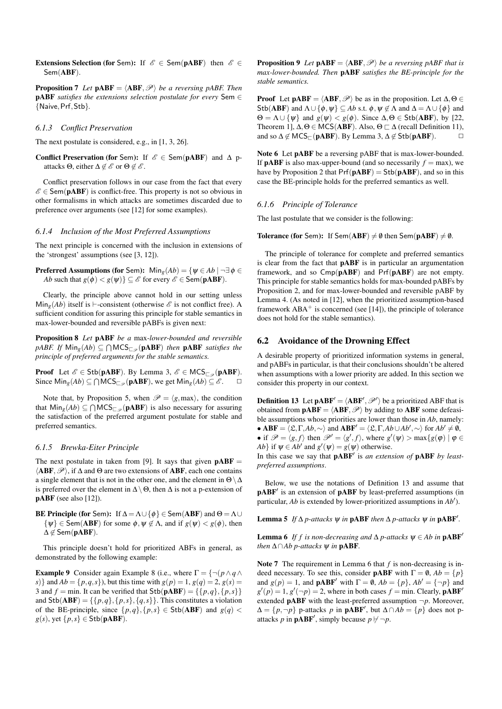Extensions Selection (for Sem): If  $\mathscr{E} \in$  Sem(pABF) then  $\mathscr{E} \in$ Sem(ABF).

**Proposition 7** Let  $\mathbf{pABF} = \langle \mathbf{ABF}, \mathcal{P} \rangle$  *be a reversing pABF. Then* pABF *satisfies the extensions selection postulate for every* Sem ∈ {Naive,Prf,Stb}*.*

#### *6.1.3 Conflict Preservation*

The next postulate is considered, e.g., in [1, 3, 26].

Conflict Preservation (for Sem): If  $\mathscr{E} \in \mathsf{Sem}(\mathbf{pABF})$  and  $\Delta$  pattacks  $\Theta$ , either  $\Delta \notin \mathscr{E}$  or  $\Theta \notin \mathscr{E}$ .

Conflict preservation follows in our case from the fact that every  $\mathscr{E} \in \mathsf{Sem}(\mathbf{pABF})$  is conflict-free. This property is not so obvious in other formalisms in which attacks are sometimes discarded due to preference over arguments (see [12] for some examples).

#### *6.1.4 Inclusion of the Most Preferred Assumptions*

The next principle is concerned with the inclusion in extensions of the 'strongest' assumptions (see [3, 12]).

**Preferred Assumptions (for Sem):**  $\text{Min}_g(Ab) = \{ \psi \in Ab \mid \neg \exists \phi \in \mathcal{A}\}$ *Ab* such that  $g(\phi) < g(\psi)$ }  $\subseteq$   $\mathcal{E}$  for every  $\mathcal{E} \in$  Sem(**pABF**).

Clearly, the principle above cannot hold in our setting unless Min<sub>g</sub>(*Ab*) itself is  $\vdash$ -consistent (otherwise  $\mathscr E$  is not conflict free). A sufficient condition for assuring this principle for stable semantics in max-lower-bounded and reversible pABFs is given next:

Proposition 8 *Let* pABF *be a* max*-lower-bounded and reversible*  $pABF$ . If  $\text{Min}_g(Ab) \subseteq \bigcap \text{MCS}_{\sqsubset_{\mathscr{P}}}(\textbf{pABF})$  then  $\textbf{pABF}$  *satisfies the principle of preferred arguments for the stable semantics.*

**Proof** Let  $\mathscr{E} \in$  Stb(pABF). By Lemma 3,  $\mathscr{E} \in$  MCS<sub> $\Box$ </sub> (pABF). Since  $\text{Min}_g(Ab) \subseteq \bigcap \text{MCS}_{\square_{\mathscr{P}}}(\textbf{pABF})$ , we get  $\text{Min}_g(Ab) \subseteq \mathscr{E}$ .  $\square$ 

Note that, by Proposition 5, when  $\mathcal{P} = \langle g, \text{max} \rangle$ , the condition that  $\text{Min}_g(Ab) \subseteq \bigcap \text{MCS}_{\square_{\mathcal{P}}}(\textbf{pABF})$  is also necessary for assuring the satisfaction of the preferred argument postulate for stable and preferred semantics.

## *6.1.5 Brewka-Eiter Principle*

The next postulate in taken from [9]. It says that given  $pABF =$  $\langle ABF, \mathcal{P} \rangle$ , if  $\Delta$  and  $\Theta$  are two extensions of ABF, each one contains a single element that is not in the other one, and the element in  $\Theta \setminus \Delta$ is preferred over the element in  $\Delta \setminus \Theta$ , then  $\Delta$  is not a p-extension of pABF (see also [12]).

**BE Principle (for Sem):** If  $\Delta = \Lambda \cup \{\phi\} \in \text{Sem}(ABF)$  and  $\Theta = \Lambda \cup$  $\{\psi\} \in \text{Sem}(ABF)$  for some  $\phi, \psi \notin \Lambda$ , and if  $g(\psi) < g(\phi)$ , then  $\Delta \notin$  Sem(pABF).

This principle doesn't hold for prioritized ABFs in general, as demonstrated by the following example:

**Example 9** Consider again Example 8 (i.e., where  $\Gamma = \{\neg (p \land q \land q)$ *s*)} and  $Ab = \{p, q, s\}$ , but this time with  $g(p) = 1, g(q) = 2, g(s) = 1$ 3 and  $f = min$ . It can be verified that  $Stb(pABF) = \{\{p,q\},\{p,s\}\}\$ and  $Stb(ABF) = \{\{p,q\}, \{p,s\}, \{q,s\}\}\$ . This constitutes a violation of the BE-principle, since  $\{p,q\}, \{p,s\} \in \text{Stb}(\text{ABF})$  and  $g(q)$  <  $g(s)$ , yet  $\{p,s\} \in$  Stb(pABF).

**Proposition 9** Let  $\mathbf{pABF} = \langle \mathbf{ABF}, \mathcal{P} \rangle$  *be a reversing pABF that is max-lower-bounded. Then* pABF *satisfies the BE-principle for the stable semantics.*

**Proof** Let  $\mathbf{pABF} = \langle \mathbf{ABF}, \mathcal{P} \rangle$  be as in the proposition. Let  $\Delta, \Theta \in$ Stb(ABF) and  $\Lambda \cup {\phi, \psi} \subset Ab$  s.t.  $\phi, \psi \notin \Lambda$  and  $\Delta = \Lambda \cup {\phi}$  and  $\Theta = \Lambda \cup \{\psi\}$  and  $g(\psi) < g(\phi)$ . Since  $\Delta, \Theta \in \text{Stb}(ABF)$ , by [22, Theorem 1],  $\Delta, \Theta \in \text{MCS}(ABF)$ . Also,  $\Theta \subset \Delta$  (recall Definition 11), and so  $\Delta \notin \text{MCS}_{\Box}(\text{pABF})$ . By Lemma 3,  $\Delta \notin \text{Stb}(\text{pABF})$ .  $\Box$ 

Note 6 Let **pABF** be a reversing pABF that is max-lower-bounded. If **pABF** is also max-upper-bound (and so necessarily  $f = max$ ), we have by Proposition 2 that  $Pr(pABF) = Stb(pABF)$ , and so in this case the BE-principle holds for the preferred semantics as well.

#### *6.1.6 Principle of Tolerance*

The last postulate that we consider is the following:

**Tolerance (for Sem):** If Sem(ABF)  $\neq \emptyset$  then Sem(pABF)  $\neq \emptyset$ .

The principle of tolerance for complete and preferred semantics is clear from the fact that pABF is in particular an argumentation framework, and so Cmp(pABF) and Prf(pABF) are not empty. This principle for stable semantics holds for max-bounded pABFs by Proposition 2, and for max-lower-bounded and reversible pABF by Lemma 4. (As noted in [12], when the prioritized assumption-based framework  $ABA^+$  is concerned (see [14]), the principle of tolerance does not hold for the stable semantics).

#### 6.2 Avoidance of the Drowning Effect

A desirable property of prioritized information systems in general, and pABFs in particular, is that their conclusions shouldn't be altered when assumptions with a lower priority are added. In this section we consider this property in our context.

**Definition 13** Let  $\mathbf{pABF}' = \langle \mathbf{ABF}', \mathcal{P}' \rangle$  be a prioritized ABF that is obtained from  $\mathbf{pABF} = \langle \mathbf{ABF}, \mathcal{P} \rangle$  by adding to  $\mathbf{ABF}$  some defeasible assumptions whose priorities are lower than those in *Ab*, namely: • **ABF** =  $\langle \mathfrak{L}, \Gamma, Ab, \sim \rangle$  and **ABF**<sup> $\prime$ </sup> =  $\langle \mathfrak{L}, \Gamma, Ab \cup Ab', \sim \rangle$  for  $Ab' \neq \emptyset$ , • if  $\mathcal{P} = \langle g, f \rangle$  then  $\mathcal{P}' = \langle g', f \rangle$ , where  $g'(\psi) > \max\{g(\varphi) \mid \varphi \in$ *Ab*} if  $\psi \in Ab'$  and  $g'(\psi) = g(\psi)$  otherwise.

In this case we say that  $pABF'$  is *an extension of*  $pABF$  *by leastpreferred assumptions*.

Below, we use the notations of Definition 13 and assume that pABF<sup>'</sup> is an extension of pABF by least-preferred assumptions (in particular, *Ab* is extended by lower-prioritized assumptions in *Ab'*).

Lemma 5 *If*  $\Delta p$ -attacks  $\psi$  *in* pABF *then*  $\Delta p$ -attacks  $\psi$  *in* pABF<sup>'</sup>.

**Lemma 6** *If f is non-decreasing and*  $\Delta p$ -attacks  $\psi \in Ab$  *in*  $\mathbf{pABF}^{\prime}$ *then*  $\triangle \cap Ab$  *p*-attacks  $\Psi$  *in* **pABF**.

Note 7 The requirement in Lemma 6 that *f* is non-decreasing is indeed necessary. To see this, consider **pABF** with  $\Gamma = \emptyset$ ,  $Ab = \{p\}$ and  $g(p) = 1$ , and **pABF'** with  $\Gamma = \emptyset$ ,  $Ab = \{p\}$ ,  $Ab' = \{\neg p\}$  and  $g'(p) = 1$ ,  $g'(\neg p) = 2$ , where in both cases  $f = \min$ . Clearly, **pABF**<sup>o</sup> extended **pABF** with the least-preferred assumption  $\neg p$ . Moreover,  $\Delta = \{p, \neg p\}$  p-attacks *p* in **pABF'**, but  $\Delta \cap Ab = \{p\}$  does not pattacks *p* in **pABF'**, simply because  $p \not\vdash \neg p$ .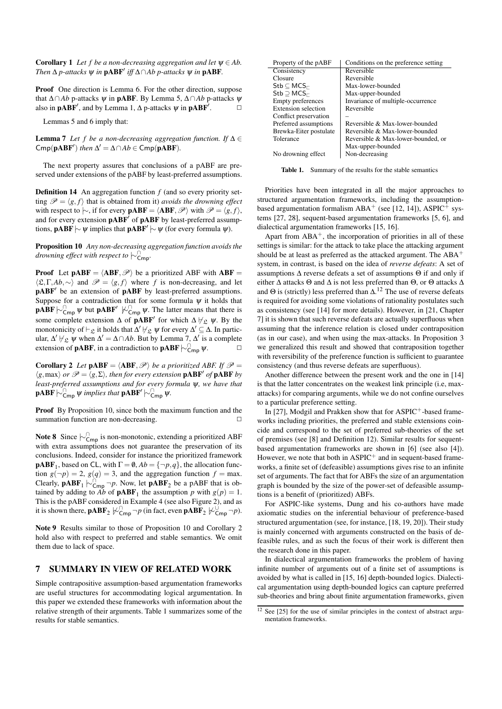**Corollary 1** *Let f be a non-decreasing aggregation and let*  $\psi \in Ab$ . *Then*  $\Delta$  *p*-attacks  $\psi$  *in* **pABF**<sup>*'*</sup> *iff*  $\Delta \cap Ab$  *p*-attacks  $\psi$  *in* **pABF**.

Proof One direction is Lemma 6. For the other direction, suppose that ∆∩*Ab* p-attacks ψ in pABF. By Lemma 5, ∆∩*Ab* p-attacks ψ also in  $\mathbf{pABF}'$ , and by Lemma 1,  $\Delta$  p-attacks  $\psi$  in  $\mathbf{pABF}'$  $\Box$ 

Lemmas 5 and 6 imply that:

**Lemma 7** *Let f be a non-decreasing aggregation function. If*  $\Delta \in$  $\text{Cmp}(\textbf{pABF}')$  *then*  $\Delta' = \Delta \cap Ab \in \text{Cmp}(\textbf{pABF})$ *.* 

The next property assures that conclusions of a pABF are preserved under extensions of the pABF by least-preferred assumptions.

Definition 14 An aggregation function *f* (and so every priority setting  $\mathcal{P} = \langle g, f \rangle$  that is obtained from it) *avoids the drowning effect* with respect to  $\sim$ , if for every **pABF** =  $\langle$ **ABF**,  $\mathcal{P}$  with  $\mathcal{P} = \langle g, f \rangle$ , and for every extension  $pABF'$  of  $pABF$  by least-preferred assumptions,  $\mathbf{pABF} \sim \psi$  implies that  $\mathbf{pABF'} \sim \psi$  (for every formula  $\psi$ ).

Proposition 10 *Any non-decreasing aggregation function avoids the drowning effect with respect to* |∼<sup>∩</sup> Cmp*.*

**Proof** Let  $pABF = \langle ABF, \mathcal{P} \rangle$  be a prioritized ABF with ABF =  $\langle \mathfrak{L}, \Gamma, Ab, \sim \rangle$  and  $\mathscr{P} = \langle g, f \rangle$  where *f* is non-decreasing, and let pABF<sup>'</sup> be an extension of pABF by least-preferred assumptions. Suppose for a contradiction that for some formula  $\psi$  it holds that  $\mathbf{pABF} \sim_{\mathsf{cmp}}^{\mathsf{O}} \psi$  but  $\mathbf{pABF}' \not\sim_{\mathsf{cmp}}^{\mathsf{O}} \psi$ . The latter means that there is some complete extension  $\Delta$  of **pABF**' for which  $\Delta \not\vdash_{\mathcal{L}} \psi$ . By the monotonicity of  $\vdash_{\mathfrak{L}}$  it holds that  $\Delta' \not\vdash_{\mathfrak{L}} \psi$  for every  $\Delta' \subseteq \Delta$ . In particular,  $\Delta' \not\vdash_{\mathfrak{L}} \psi$  when  $\Delta' = \Delta \cap Ab$ . But by Lemma 7,  $\Delta'$  is a complete extension of **pABF**, in a contradiction to **pABF**  $\uparrow \sim$   $\cap$ <sub>Cmp</sub>  $\psi$ .

**Corollary 2** *Let*  $\mathbf{pABF} = \langle \mathbf{ABF}, \mathcal{P} \rangle$  *be a prioritized ABF. If*  $\mathcal{P} =$  $\langle g, \max \rangle$  *or*  $\mathscr{P} = \langle g, \Sigma \rangle$ *, then for every extension* **pABF** *of* **pABF** *by least-preferred assumptions and for every formula* ψ*, we have that*  $\mathbf{pABF} \hspace{0.2em}\sim\hspace{0.2em}\mid\hspace{0.58em} \cdots$   $\mathsf{pABF}^\prime \hspace{0.2em}\sim\hspace{0.2em}\mathsf{pABF}^\prime$  w.

Proof By Proposition 10, since both the maximum function and the summation function are non-decreasing.  $\Box$ 

**Note 8** Since  $\sim_{\text{Cmp}}^{\cap}$  is non-monotonic, extending a prioritized ABF with extra assumptions does not guarantee the preservation of its conclusions. Indeed, consider for instance the prioritized framework **pABF**<sub>1</sub>, based on CL, with  $\Gamma = \emptyset$ ,  $Ab = \{\neg p, q\}$ , the allocation function  $g(\neg p) = 2$ ,  $g(q) = 3$ , and the aggregation function  $f = \max$ . Clearly,  $\mathbf{pABF}_1 \sim_{\mathsf{Cmp}}^{\cap} \neg p$ . Now, let  $\mathbf{pABF}_2$  be a pABF that is obtained by adding to *Ab* of **pABF**<sub>1</sub> the assumption *p* with  $g(p) = 1$ . This is the pABF considered in Example 4 (see also Figure 2), and as it is shown there,  $\mathbf{pABF}_2 \not\triangleright^{\cap}_{\mathsf{cmp}} \neg p$  (in fact, even  $\mathbf{pABF}_2 \not\triangleright^{\cup}_{\mathsf{cmp}} \neg p$ ).

Note 9 Results similar to those of Proposition 10 and Corollary 2 hold also with respect to preferred and stable semantics. We omit them due to lack of space.

# 7 SUMMARY IN VIEW OF RELATED WORK

Simple contrapositive assumption-based argumentation frameworks are useful structures for accommodating logical argumentation. In this paper we extended these frameworks with information about the relative strength of their arguments. Table 1 summarizes some of the results for stable semantics.

| Property of the pABF                              | Conditions on the preference setting |
|---------------------------------------------------|--------------------------------------|
| Consistency                                       | Reversible                           |
| Closure                                           | Reversible                           |
| $\mathsf{Stb} \subseteq \mathsf{MCS}_{\sqsubset}$ | Max-lower-bounded                    |
| $\mathsf{Stb} \supset \mathsf{MCS}_{\sqsubset}$   | Max-upper-bounded                    |
| <b>Empty preferences</b>                          | Invariance of multiple-occurrence    |
| Extension selection                               | Reversible                           |
| Conflict preservation                             |                                      |
| Preferred assumptions                             | Reversible & Max-lower-bounded       |
| Brewka-Eiter postulate                            | Reversible & Max-lower-bounded       |
| Tolerance                                         | Reversible & Max-lower-bounded, or   |
|                                                   | Max-upper-bounded                    |
| No drowning effect                                | Non-decreasing                       |

Table 1. Summary of the results for the stable semantics

Priorities have been integrated in all the major approaches to structured argumentation frameworks, including the assumptionbased argumentation formalism  $ABA^+$  (see [12, 14]),  $ASPIC^+$  systems [27, 28], sequent-based argumentation frameworks [5, 6], and dialectical argumentation frameworks [15, 16].

Apart from  $ABA^+$ , the incorporation of priorities in all of these settings is similar: for the attack to take place the attacking argument should be at least as preferred as the attacked argument. The ABA<sup>+</sup> system, in contrast, is based on the idea of *reverse defeats*: A set of assumptions  $\Delta$  reverse defeats a set of assumptions  $\Theta$  if and only if either ∆ attacks Θ and ∆ is not less preferred than Θ, or Θ attacks ∆ and  $\Theta$  is (strictly) less preferred than  $\Delta$ .<sup>12</sup> The use of reverse defeats is required for avoiding some violations of rationality postulates such as consistency (see [14] for more details). However, in [21, Chapter 7] it is shown that such reverse defeats are actually superfluous when assuming that the inference relation is closed under contraposition (as in our case), and when using the max-attacks. In Proposition 3 we generalized this result and showed that contraposition together with reversibility of the preference function is sufficient to guarantee consistency (and thus reverse defeats are superfluous).

Another difference between the present work and the one in [14] is that the latter concentrates on the weakest link principle (i.e, maxattacks) for comparing arguments, while we do not confine ourselves to a particular preference setting.

In [27], Modgil and Prakken show that for ASPIC<sup>+</sup>-based frameworks including priorities, the preferred and stable extensions coincide and correspond to the set of preferred sub-theories of the set of premises (see [8] and Definition 12). Similar results for sequentbased argumentation frameworks are shown in [6] (see also [4]). However, we note that both in  $ASPIC<sup>+</sup>$  and in sequent-based frameworks, a finite set of (defeasible) assumptions gives rise to an infinite set of arguments. The fact that for ABFs the size of an argumentation graph is bounded by the size of the power-set of defeasible assumptions is a benefit of (prioritized) ABFs.

For ASPIC-like systems, Dung and his co-authors have made axiomatic studies on the inferential behaviour of preference-based structured argumentation (see, for instance, [18, 19, 20]). Their study is mainly concerned with arguments constructed on the basis of defeasible rules, and as such the focus of their work is different then the research done in this paper.

In dialectical argumentation frameworks the problem of having infinite number of arguments out of a finite set of assumptions is avoided by what is called in [15, 16] depth-bounded logics. Dialectical argumentation using depth-bounded logics can capture preferred sub-theories and bring about finite argumentation frameworks, given

 $12$  See [25] for the use of similar principles in the context of abstract argumentation frameworks.